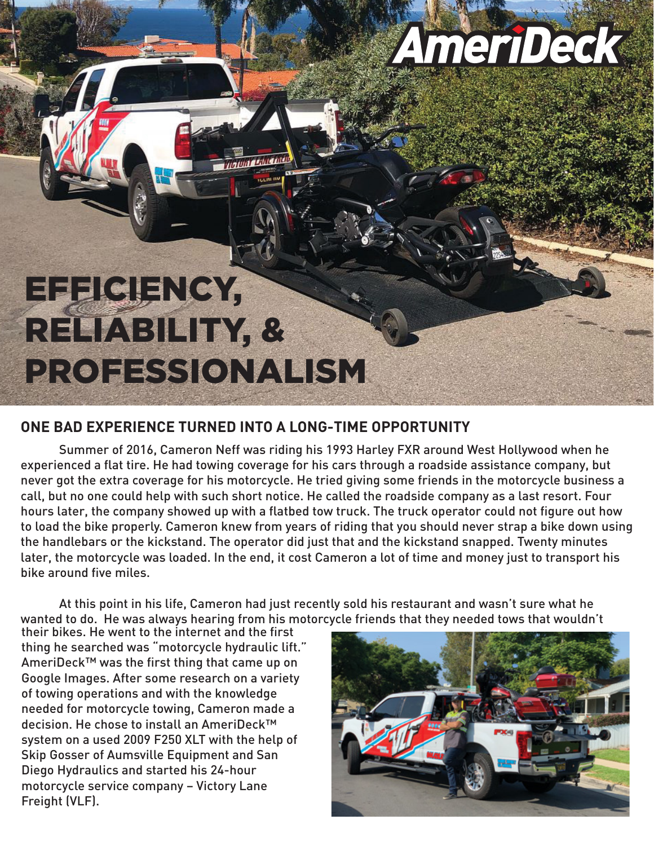## AmeriDeck

## EFFICIENCY, RELIABILITY, & PROFESSIONALISM

## **ONE BAD EXPERIENCE TURNED INTO A LONG-TIME OPPORTUNITY**

 Summer of 2016, Cameron Neff was riding his 1993 Harley FXR around West Hollywood when he experienced a flat tire. He had towing coverage for his cars through a roadside assistance company, but never got the extra coverage for his motorcycle. He tried giving some friends in the motorcycle business a call, but no one could help with such short notice. He called the roadside company as a last resort. Four hours later, the company showed up with a flatbed tow truck. The truck operator could not figure out how to load the bike properly. Cameron knew from years of riding that you should never strap a bike down using the handlebars or the kickstand. The operator did just that and the kickstand snapped. Twenty minutes later, the motorcycle was loaded. In the end, it cost Cameron a lot of time and money just to transport his bike around five miles.

 At this point in his life, Cameron had just recently sold his restaurant and wasn't sure what he wanted to do. He was always hearing from his motorcycle friends that they needed tows that wouldn't

their bikes. He went to the internet and the first thing he searched was "motorcycle hydraulic lift." AmeriDeck™ was the first thing that came up on Google Images. After some research on a variety of towing operations and with the knowledge needed for motorcycle towing, Cameron made a decision. He chose to install an AmeriDeck™ system on a used 2009 F250 XLT with the help of Skip Gosser of Aumsville Equipment and San Diego Hydraulics and started his 24-hour motorcycle service company – Victory Lane Freight (VLF).